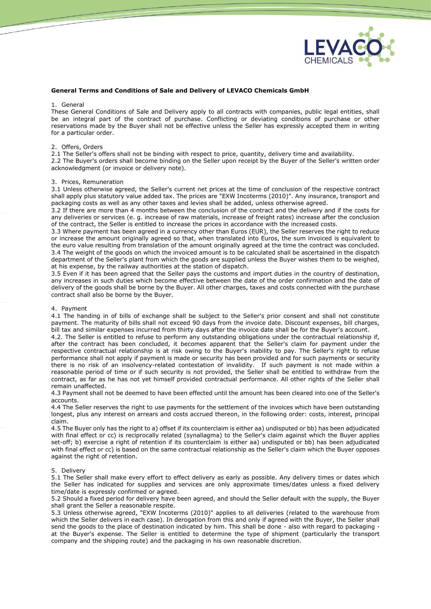

# **General Terms and Conditions of Sale and Delivery of LEVACO Chemicals GmbH**

#### 1. General

These General Conditions of Sale and Delivery apply to all contracts with companies, public legal entities, shall be an integral part of the contract of purchase. Conflicting or deviating conditions of purchase or other reservations made by the Buyer shall not be effective unless the Seller has expressly accepted them in writing for a particular order.

### 2. Offers, Orders

2.1 The Seller's offers shall not be binding with respect to price, quantity, delivery time and availability.

2.2 The Buyer's orders shall become binding on the Seller upon receipt by the Buyer of the Seller's written order acknowledgment (or invoice or delivery note).

#### 3. Prices, Remuneration

3.1 Unless otherwise agreed, the Seller's current net prices at the time of conclusion of the respective contract shall apply plus statutory value added tax. The prices are "EXW Incoterms (2010)". Any insurance, transport and packaging costs as well as any other taxes and levies shall be added, unless otherwise agreed.

3.2 If there are more than 4 months between the conclusion of the contract and the delivery and if the costs for any deliveries or services (e. g. increase of raw materials, increase of freight rates) increase after the conclusion of the contract, the Seller is entitled to increase the prices in accordance with the increased costs.

3.3 Where payment has been agreed in a currency other than Euros (EUR), the Seller reserves the right to reduce or increase the amount originally agreed so that, when translated into Euros, the sum invoiced is equivalent to the euro value resulting from translation of the amount originally agreed at the time the contract was concluded. 3.4 The weight of the goods on which the invoiced amount is to be calculated shall be ascertained in the dispatch department of the Seller's plant from which the goods are supplied unless the Buyer wishes them to be weighed, at his expense, by the railway authorities at the station of dispatch.

3.5 Even if it has been agreed that the Seller pays the customs and import duties in the country of destination, any increases in such duties which become effective between the date of the order confirmation and the date of delivery of the goods shall be borne by the Buyer. All other charges, taxes and costs connected with the purchase contract shall also be borne by the Buyer.

### 4. Payment

4.1 The handing in of bills of exchange shall be subject to the Seller's prior consent and shall not constitute payment. The maturity of bills shall not exceed 90 days from the invoice date. Discount expenses, bill charges, bill tax and similar expenses incurred from thirty days after the invoice date shall be for the Buyer's account.

4.2. The Seller is entitled to refuse to perform any outstanding obligations under the contractual relationship if, after the contract has been concluded, it becomes apparent that the Seller's claim for payment under the respective contractual relationship is at risk owing to the Buyer's inability to pay. The Seller's right to refuse performance shall not apply if payment is made or security has been provided and for such payments or security there is no risk of an insolvency-related contestation of invalidity. If such payment is not made within a reasonable period of time or if such security is not provided, the Seller shall be entitled to withdraw from the contract, as far as he has not yet himself provided contractual performance. All other rights of the Seller shall remain unaffected.

4.3 Payment shall not be deemed to have been effected until the amount has been cleared into one of the Seller's accounts.

4.4 The Seller reserves the right to use payments for the settlement of the invoices which have been outstanding longest, plus any interest on arrears and costs accrued thereon, in the following order: costs, interest, principal claim.

4.5 The Buyer only has the right to a) offset if its counterclaim is either aa) undisputed or bb) has been adjudicated with final effect or cc) is reciprocally related (synallagma) to the Seller's claim against which the Buyer applies set-off; b) exercise a right of retention if its counterclaim is either aa) undisputed or bb) has been adjudicated with final effect or cc) is based on the same contractual relationship as the Seller's claim which the Buyer opposes against the right of retention.

### 5. Delivery

5.1 The Seller shall make every effort to effect delivery as early as possible. Any delivery times or dates which the Seller has indicated for supplies and services are only approximate times/dates unless a fixed delivery time/date is expressly confirmed or agreed.

5.2 Should a fixed period for delivery have been agreed, and should the Seller default with the supply, the Buyer shall grant the Seller a reasonable respite.

5.3 Unless otherwise agreed, "EXW Incoterms (2010)" applies to all deliveries (related to the warehouse from which the Seller delivers in each case). In derogation from this and only if agreed with the Buyer, the Seller shall send the goods to the place of destination indicated by him. This shall be done - also with regard to packaging at the Buyer's expense. The Seller is entitled to determine the type of shipment (particularly the transport company and the shipping route) and the packaging in his own reasonable discretion.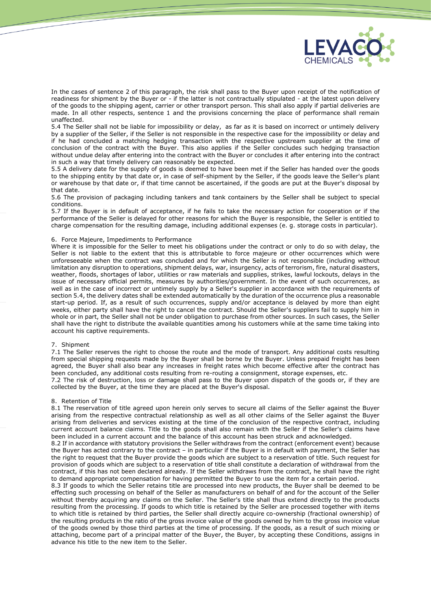

In the cases of sentence 2 of this paragraph, the risk shall pass to the Buyer upon receipt of the notification of readiness for shipment by the Buyer or - if the latter is not contractually stipulated - at the latest upon delivery of the goods to the shipping agent, carrier or other transport person. This shall also apply if partial deliveries are made. In all other respects, sentence 1 and the provisions concerning the place of performance shall remain unaffected.

5.4 The Seller shall not be liable for impossibility or delay, as far as it is based on incorrect or untimely delivery by a supplier of the Seller, if the Seller is not responsible in the respective case for the impossibility or delay and if he had concluded a matching hedging transaction with the respective upstream supplier at the time of conclusion of the contract with the Buyer. This also applies if the Seller concludes such hedging transaction without undue delay after entering into the contract with the Buyer or concludes it after entering into the contract in such a way that timely delivery can reasonably be expected.

5.5 A delivery date for the supply of goods is deemed to have been met if the Seller has handed over the goods to the shipping entity by that date or, in case of self-shipment by the Seller, if the goods leave the Seller's plant or warehouse by that date or, if that time cannot be ascertained, if the goods are put at the Buyer's disposal by that date.

5.6 The provision of packaging including tankers and tank containers by the Seller shall be subject to special conditions.

5.7 If the Buyer is in default of acceptance, if he fails to take the necessary action for cooperation or if the performance of the Seller is delayed for other reasons for which the Buyer is responsible, the Seller is entitled to charge compensation for the resulting damage, including additional expenses (e. g. storage costs in particular).

## 6. Force Majeure, Impediments to Performance

Where it is impossible for the Seller to meet his obligations under the contract or only to do so with delay, the Seller is not liable to the extent that this is attributable to force majeure or other occurrences which were unforeseeable when the contract was concluded and for which the Seller is not responsible (including without limitation any disruption to operations, shipment delays, war, insurgency, acts of terrorism, fire, natural disasters, weather, floods, shortages of labor, utilities or raw materials and supplies, strikes, lawful lockouts, delays in the issue of necessary official permits, measures by authorities/government. In the event of such occurrences, as well as in the case of incorrect or untimely supply by a Seller's supplier in accordance with the requirements of section 5.4, the delivery dates shall be extended automatically by the duration of the occurrence plus a reasonable start-up period. If, as a result of such occurrences, supply and/or acceptance is delayed by more than eight weeks, either party shall have the right to cancel the contract. Should the Seller's suppliers fail to supply him in whole or in part, the Seller shall not be under obligation to purchase from other sources. In such cases, the Seller shall have the right to distribute the available quantities among his customers while at the same time taking into account his captive requirements.

# 7. Shipment

7.1 The Seller reserves the right to choose the route and the mode of transport. Any additional costs resulting from special shipping requests made by the Buyer shall be borne by the Buyer. Unless prepaid freight has been agreed, the Buyer shall also bear any increases in freight rates which become effective after the contract has been concluded, any additional costs resulting from re-routing a consignment, storage expenses, etc.

7.2 The risk of destruction, loss or damage shall pass to the Buyer upon dispatch of the goods or, if they are collected by the Buyer, at the time they are placed at the Buyer's disposal.

### 8. Retention of Title

8.1 The reservation of title agreed upon herein only serves to secure all claims of the Seller against the Buyer arising from the respective contractual relationship as well as all other claims of the Seller against the Buyer arising from deliveries and services existing at the time of the conclusion of the respective contract, including current account balance claims. Title to the goods shall also remain with the Seller if the Seller's claims have been included in a current account and the balance of this account has been struck and acknowledged.

8.2 If in accordance with statutory provisions the Seller withdraws from the contract (enforcement event) because the Buyer has acted contrary to the contract – in particular if the Buyer is in default with payment, the Seller has the right to request that the Buyer provide the goods which are subject to a reservation of title. Such request for provision of goods which are subject to a reservation of title shall constitute a declaration of withdrawal from the contract, if this has not been declared already. If the Seller withdraws from the contract, he shall have the right to demand appropriate compensation for having permitted the Buyer to use the item for a certain period.

8.3 If goods to which the Seller retains title are processed into new products, the Buyer shall be deemed to be effecting such processing on behalf of the Seller as manufacturers on behalf of and for the account of the Seller without thereby acquiring any claims on the Seller. The Seller's title shall thus extend directly to the products resulting from the processing. If goods to which title is retained by the Seller are processed together with items to which title is retained by third parties, the Seller shall directly acquire co-ownership (fractional ownership) of the resulting products in the ratio of the gross invoice value of the goods owned by him to the gross invoice value of the goods owned by those third parties at the time of processing. If the goods, as a result of such mixing or attaching, become part of a principal matter of the Buyer, the Buyer, by accepting these Conditions, assigns in advance his title to the new item to the Seller.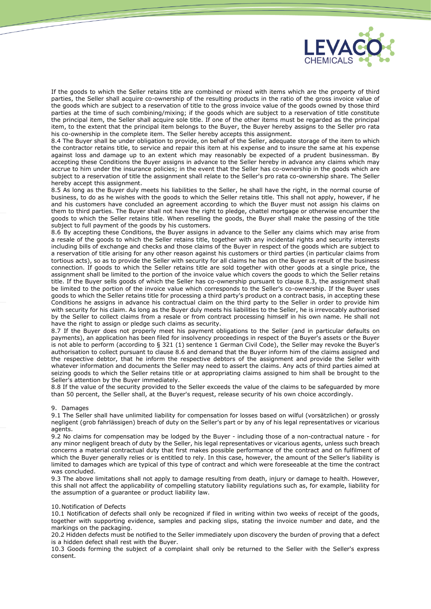

If the goods to which the Seller retains title are combined or mixed with items which are the property of third parties, the Seller shall acquire co-ownership of the resulting products in the ratio of the gross invoice value of the goods which are subject to a reservation of title to the gross invoice value of the goods owned by those third parties at the time of such combining/mixing; if the goods which are subject to a reservation of title constitute the principal item, the Seller shall acquire sole title. If one of the other items must be regarded as the principal item, to the extent that the principal item belongs to the Buyer, the Buyer hereby assigns to the Seller pro rata his co-ownership in the complete item. The Seller hereby accepts this assignment.

8.4 The Buyer shall be under obligation to provide, on behalf of the Seller, adequate storage of the item to which the contractor retains title, to service and repair this item at his expense and to insure the same at his expense against loss and damage up to an extent which may reasonably be expected of a prudent businessman. By accepting these Conditions the Buyer assigns in advance to the Seller hereby in advance any claims which may accrue to him under the insurance policies; in the event that the Seller has co-ownership in the goods which are subject to a reservation of title the assignment shall relate to the Seller's pro rata co-ownership share. The Seller hereby accept this assignment.

8.5 As long as the Buyer duly meets his liabilities to the Seller, he shall have the right, in the normal course of business, to do as he wishes with the goods to which the Seller retains title. This shall not apply, however, if he and his customers have concluded an agreement according to which the Buyer must not assign his claims on them to third parties. The Buyer shall not have the right to pledge, chattel mortgage or otherwise encumber the goods to which the Seller retains title. When reselling the goods, the Buyer shall make the passing of the title subject to full payment of the goods by his customers.

8.6 By accepting these Conditions, the Buyer assigns in advance to the Seller any claims which may arise from a resale of the goods to which the Seller retains title, together with any incidental rights and security interests including bills of exchange and checks and those claims of the Buyer in respect of the goods which are subject to a reservation of title arising for any other reason against his customers or third parties (in particular claims from tortious acts), so as to provide the Seller with security for all claims he has on the Buyer as result of the business connection. If goods to which the Seller retains title are sold together with other goods at a single price, the assignment shall be limited to the portion of the invoice value which covers the goods to which the Seller retains title. If the Buyer sells goods of which the Seller has co-ownership pursuant to clause 8.3, the assignment shall be limited to the portion of the invoice value which corresponds to the Seller's co-ownership. If the Buyer uses goods to which the Seller retains title for processing a third party's product on a contract basis, in accepting these Conditions he assigns in advance his contractual claim on the third party to the Seller in order to provide him with security for his claim. As long as the Buyer duly meets his liabilities to the Seller, he is irrevocably authorised by the Seller to collect claims from a resale or from contract processing himself in his own name. He shall not have the right to assign or pledge such claims as security.

8.7 If the Buyer does not properly meet his payment obligations to the Seller (and in particular defaults on payments), an application has been filed for insolvency proceedings in respect of the Buyer's assets or the Buyer is not able to perform (according to § 321 (1) sentence 1 German Civil Code), the Seller may revoke the Buyer's authorisation to collect pursuant to clause 8.6 and demand that the Buyer inform him of the claims assigned and the respective debtor, that he inform the respective debtors of the assignment and provide the Seller with whatever information and documents the Seller may need to assert the claims. Any acts of third parties aimed at seizing goods to which the Seller retains title or at appropriating claims assigned to him shall be brought to the Seller's attention by the Buyer immediately.

8.8 If the value of the security provided to the Seller exceeds the value of the claims to be safeguarded by more than 50 percent, the Seller shall, at the Buyer's request, release security of his own choice accordingly.

## 9. Damages

9.1 The Seller shall have unlimited liability for compensation for losses based on wilful (vorsätzlichen) or grossly negligent (grob fahrlässigen) breach of duty on the Seller's part or by any of his legal representatives or vicarious agents.

9.2 No claims for compensation may be lodged by the Buyer - including those of a non-contractual nature - for any minor negligent breach of duty by the Seller, his legal representatives or vicarious agents, unless such breach concerns a material contractual duty that first makes possible performance of the contract and on fulfilment of which the Buyer generally relies or is entitled to rely. In this case, however, the amount of the Seller's liability is limited to damages which are typical of this type of contract and which were foreseeable at the time the contract was concluded.

9.3 The above limitations shall not apply to damage resulting from death, injury or damage to health. However, this shall not affect the applicability of compelling statutory liability regulations such as, for example, liability for the assumption of a guarantee or product liability law.

### 10.Notification of Defects

10.1 Notification of defects shall only be recognized if filed in writing within two weeks of receipt of the goods, together with supporting evidence, samples and packing slips, stating the invoice number and date, and the markings on the packaging.

20.2 Hidden defects must be notified to the Seller immediately upon discovery the burden of proving that a defect is a hidden defect shall rest with the Buyer.

10.3 Goods forming the subject of a complaint shall only be returned to the Seller with the Seller's express consent.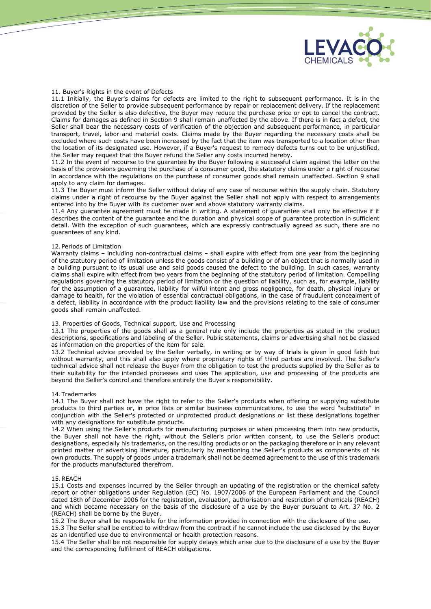

## 11. Buyer's Rights in the event of Defects

11.1 Initially, the Buyer's claims for defects are limited to the right to subsequent performance. It is in the discretion of the Seller to provide subsequent performance by repair or replacement delivery. If the replacement provided by the Seller is also defective, the Buyer may reduce the purchase price or opt to cancel the contract. Claims for damages as defined in Section 9 shall remain unaffected by the above. If there is in fact a defect, the Seller shall bear the necessary costs of verification of the objection and subsequent performance, in particular transport, travel, labor and material costs. Claims made by the Buyer regarding the necessary costs shall be excluded where such costs have been increased by the fact that the item was transported to a location other than the location of its designated use. However, if a Buyer's request to remedy defects turns out to be unjustified, the Seller may request that the Buyer refund the Seller any costs incurred hereby.

11.2 In the event of recourse to the guarantee by the Buyer following a successful claim against the latter on the basis of the provisions governing the purchase of a consumer good, the statutory claims under a right of recourse in accordance with the regulations on the purchase of consumer goods shall remain unaffected. Section 9 shall apply to any claim for damages.

11.3 The Buyer must inform the Seller without delay of any case of recourse within the supply chain. Statutory claims under a right of recourse by the Buyer against the Seller shall not apply with respect to arrangements entered into by the Buyer with its customer over and above statutory warranty claims.

11.4 Any guarantee agreement must be made in writing. A statement of guarantee shall only be effective if it describes the content of the guarantee and the duration and physical scope of guarantee protection in sufficient detail. With the exception of such guarantees, which are expressly contractually agreed as such, there are no guarantees of any kind.

## 12.Periods of Limitation

Warranty claims – including non-contractual claims – shall expire with effect from one year from the beginning of the statutory period of limitation unless the goods consist of a building or of an object that is normally used in a building pursuant to its usual use and said goods caused the defect to the building. In such cases, warranty claims shall expire with effect from two years from the beginning of the statutory period of limitation. Compelling regulations governing the statutory period of limitation or the question of liability, such as, for example, liability for the assumption of a guarantee, liability for wilful intent and gross negligence, for death, physical injury or damage to health, for the violation of essential contractual obligations, in the case of fraudulent concealment of a defect, liability in accordance with the product liability law and the provisions relating to the sale of consumer goods shall remain unaffected.

## 13. Properties of Goods, Technical support, Use and Processing

13.1 The properties of the goods shall as a general rule only include the properties as stated in the product descriptions, specifications and labeling of the Seller. Public statements, claims or advertising shall not be classed as information on the properties of the item for sale.

13.2 Technical advice provided by the Seller verbally, in writing or by way of trials is given in good faith but without warranty, and this shall also apply where proprietary rights of third parties are involved. The Seller's technical advice shall not release the Buyer from the obligation to test the products supplied by the Seller as to their suitability for the intended processes and uses The application, use and processing of the products are beyond the Seller's control and therefore entirely the Buyer's responsibility.

### 14.Trademarks

14.1 The Buyer shall not have the right to refer to the Seller's products when offering or supplying substitute products to third parties or, in price lists or similar business communications, to use the word "substitute" in conjunction with the Seller's protected or unprotected product designations or list these designations together with any designations for substitute products.

14.2 When using the Seller's products for manufacturing purposes or when processing them into new products, the Buyer shall not have the right, without the Seller's prior written consent, to use the Seller's product designations, especially his trademarks, on the resulting products or on the packaging therefore or in any relevant printed matter or advertising literature, particularly by mentioning the Seller's products as components of his own products. The supply of goods under a trademark shall not be deemed agreement to the use of this trademark for the products manufactured therefrom.

### 15.REACH

15.1 Costs and expenses incurred by the Seller through an updating of the registration or the chemical safety report or other obligations under Regulation (EC) No. 1907/2006 of the European Parliament and the Council dated 18th of December 2006 for the registration, evaluation, authorisation and restriction of chemicals (REACH) and which became necessary on the basis of the disclosure of a use by the Buyer pursuant to Art. 37 No. 2 (REACH) shall be borne by the Buyer.

15.2 The Buyer shall be responsible for the information provided in connection with the disclosure of the use.

15.3 The Seller shall be entitled to withdraw from the contract if he cannot include the use disclosed by the Buyer as an identified use due to environmental or health protection reasons.

15.4 The Seller shall be not responsible for supply delays which arise due to the disclosure of a use by the Buyer and the corresponding fulfilment of REACH obligations.